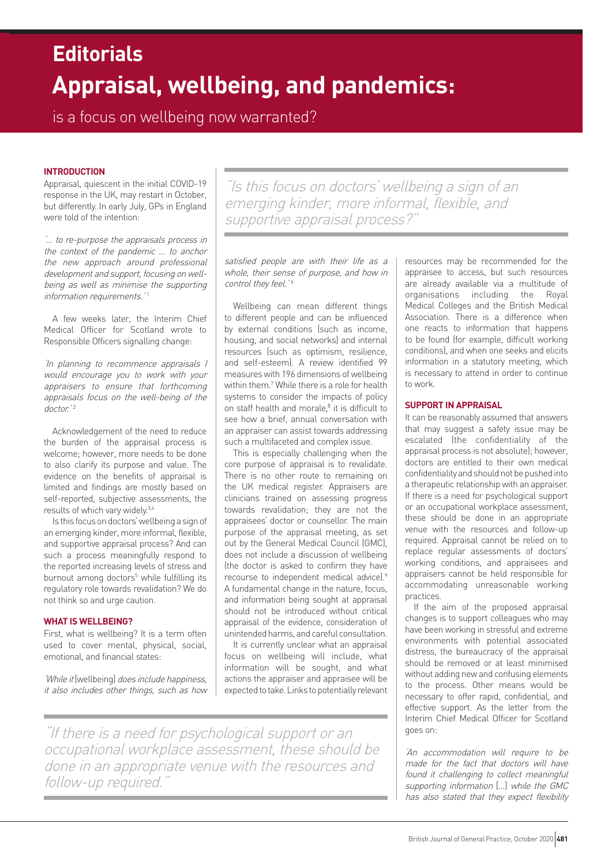# **Editorials Appraisal, wellbeing, and pandemics:**

is a focus on wellbeing now warranted?

# **INTRODUCTION**

Appraisal, quiescent in the initial COVID-19 response in the UK, may restart in October, but differently. In early July, GPs in England were told of the intention:

'... to re-purpose the appraisals process in the context of the pandemic ... to anchor the new approach around professional development and support, focusing on wellbeing as well as minimise the supporting information requirements.<sup>'1</sup>

A few weeks later, the Interim Chief Medical Officer for Scotland wrote to Responsible Officers signalling change:

'In planning to recommence appraisals I would encourage you to work with your appraisers to ensure that forthcoming appraisals focus on the well-being of the doctor.<sup>'2</sup>

Acknowledgement of the need to reduce the burden of the appraisal process is welcome; however, more needs to be done to also clarify its purpose and value. The evidence on the benefits of appraisal is limited and findings are mostly based on self-reported, subjective assessments, the results of which vary widely.<sup>3,4</sup>

Is this focus on doctors' wellbeing a sign of an emerging kinder, more informal, flexible, and supportive appraisal process? And can such a process meaningfully respond to the reported increasing levels of stress and burnout among doctors<sup>5</sup> while fulfilling its regulatory role towards revalidation? We do not think so and urge caution.

# **WHAT IS WELL BEING?**

First, what is wellbeing? It is a term often used to cover mental, physical, social, emotional, and financial states:

'While it [wellbeing] does include happiness, it also includes other things, such as how

"Is this focus on doctors' wellbeing a sign of an emerging kinder, more informal, flexible, and supportive appraisal process?"

satisfied people are with their life as a whole, their sense of purpose, and how in control they feel.<sup>'6</sup>

Wellbeing can mean different things to different people and can be influenced by external conditions (such as income, housing, and social networks) and internal resources (such as optimism, resilience, and self-esteem). A review identified 99 measures with 196 dimensions of wellbeing within them.7 While there is a role for health systems to consider the impacts of policy on staff health and morale, $8$  it is difficult to see how a brief, annual conversation with an appraiser can assist towards addressing such a multifaceted and complex issue.

This is especially challenging when the core purpose of appraisal is to revalidate. There is no other route to remaining on the UK medical register. Appraisers are clinicians trained on assessing progress towards revalidation; they are not the appraisees' doctor or counsellor. The main purpose of the appraisal meeting, as set out by the General Medical Council (GMC), does not include a discussion of wellbeing (the doctor is asked to confirm they have recourse to independent medical advice).<sup>9</sup> A fundamental change in the nature, focus, and information being sought at appraisal should not be introduced without critical appraisal of the evidence, consideration of unintended harms, and careful consultation.

It is currently unclear what an appraisal focus on wellbeing will include, what information will be sought, and what actions the appraiser and appraisee will be expected to take. Links to potentially relevant

"If there is a need for psychological support or an occupational workplace assessment, these should be done in an appropriate venue with the resources and follow-up required.

resources may be recommended for the appraisee to access, but such resources are already available via a multitude of organisations including the Royal Medical Colleges and the British Medical Association. There is a difference when one reacts to information that happens to be found (for example, difficult working conditions), and when one seeks and elicits information in a statutory meeting, which is necessary to attend in order to continue to work.

# **SUPPORT IN APPRAISAL**

It can be reasonably assumed that answers that may suggest a safety issue may be escalated (the confidentiality of the appraisal process is not absolute); however, doctors are entitled to their own medical confidentiality and should not be pushed into a therapeutic relationship with an appraiser. If there is a need for psychological support or an occupational workplace assessment, these should be done in an appropriate venue with the resources and follow-up required. Appraisal cannot be relied on to replace regular assessments of doctors' working conditions, and appraisees and appraisers cannot be held responsible for accommodating unreasonable working practices.

If the aim of the proposed appraisal changes is to support colleagues who may have been working in stressful and extreme environments with potential associated distress, the bureaucracy of the appraisal should be removed or at least minimised without adding new and confusing elements to the process. Other means would be necessary to offer rapid, confidential, and effective support. As the letter from the Interim Chief Medical Officer for Scotland goes on:

'An accommodation will require to be made for the fact that doctors will have found it challenging to collect meaningful supporting information [...] while the GMC has also stated that they expect flexibility